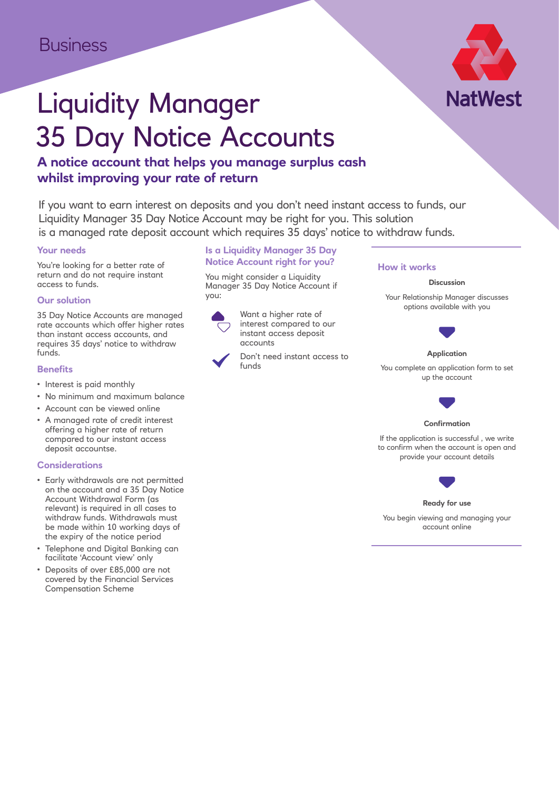

# Liquidity Manager 35 Day Notice Accounts

## **A notice account that helps you manage surplus cash whilst improving your rate of return**

If you want to earn interest on deposits and you don't need instant access to funds, our Liquidity Manager 35 Day Notice Account may be right for you. This solution is a managed rate deposit account which requires 35 days' notice to withdraw funds.

#### **Your needs**

You're looking for a better rate of return and do not require instant access to funds.

#### **Our solution**

35 Day Notice Accounts are managed rate accounts which offer higher rates than instant access accounts, and requires 35 days' notice to withdraw funds.

#### **Benefits**

- Interest is paid monthly
- No minimum and maximum balance
- Account can be viewed online
- A managed rate of credit interest offering a higher rate of return compared to our instant access deposit accountse.

#### **Considerations**

- Early withdrawals are not permitted on the account and a 35 Day Notice Account Withdrawal Form (as relevant) is required in all cases to withdraw funds. Withdrawals must be made within 10 working days of the expiry of the notice period
- Telephone and Digital Banking can facilitate 'Account view' only
- Deposits of over £85,000 are not covered by the Financial Services Compensation Scheme

### **Is a Liquidity Manager 35 Day Notice Account right for you?**

You might consider a Liquidity Manager 35 Day Notice Account if you:



Want a higher rate of interest compared to our instant access deposit accounts

Don't need instant access to funds

#### **How it works**

#### **Discussion**

Your Relationship Manager discusses options available with you



#### **Application**

You complete an application form to set up the account



#### **Confirmation**

If the application is successful , we write to confirm when the account is open and provide your account details



#### **Ready for use**

You begin viewing and managing your account online